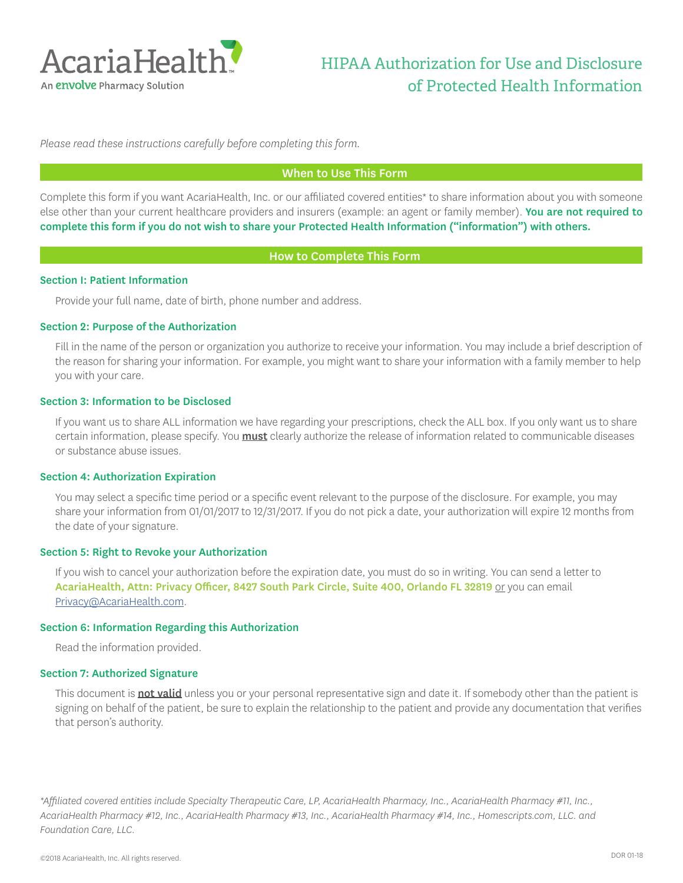

*Please read these instructions carefully before completing this form.* 

#### When to Use This Form

Complete this form if you want AcariaHealth, Inc. or our affiliated covered entities\* to share information about you with someone else other than your current healthcare providers and insurers (example: an agent or family member). You are not required to complete this form if you do not wish to share your Protected Health Information ("information") with others.

#### How to Complete This Form

#### Section I: Patient Information

Provide your full name, date of birth, phone number and address.

#### Section 2: Purpose of the Authorization

Fill in the name of the person or organization you authorize to receive your information. You may include a brief description of the reason for sharing your information. For example, you might want to share your information with a family member to help you with your care.

#### Section 3: Information to be Disclosed

If you want us to share ALL information we have regarding your prescriptions, check the ALL box. If you only want us to share certain information, please specify. You **must** clearly authorize the release of information related to communicable diseases or substance abuse issues.

#### Section 4: Authorization Expiration

You may select a specific time period or a specific event relevant to the purpose of the disclosure. For example, you may share your information from 01/01/2017 to 12/31/2017. If you do not pick a date, your authorization will expire 12 months from the date of your signature.

#### Section 5: Right to Revoke your Authorization

If you wish to cancel your authorization before the expiration date, you must do so in writing. You can send a letter to AcariaHealth, Attn: Privacy Officer, 8427 South Park Circle, Suite 400, Orlando FL 32819 or you can email Privacy@AcariaHealth.com.

#### Section 6: Information Regarding this Authorization

Read the information provided.

#### Section 7: Authorized Signature

This document is **not valid** unless you or your personal representative sign and date it. If somebody other than the patient is signing on behalf of the patient, be sure to explain the relationship to the patient and provide any documentation that verifies that person's authority.

*\*Affiliated covered entities include Specialty Therapeutic Care, LP, AcariaHealth Pharmacy, Inc., AcariaHealth Pharmacy #11, Inc., AcariaHealth Pharmacy #12, Inc., AcariaHealth Pharmacy #13, Inc., AcariaHealth Pharmacy #14, Inc., Homescripts.com, LLC. and Foundation Care, LLC.*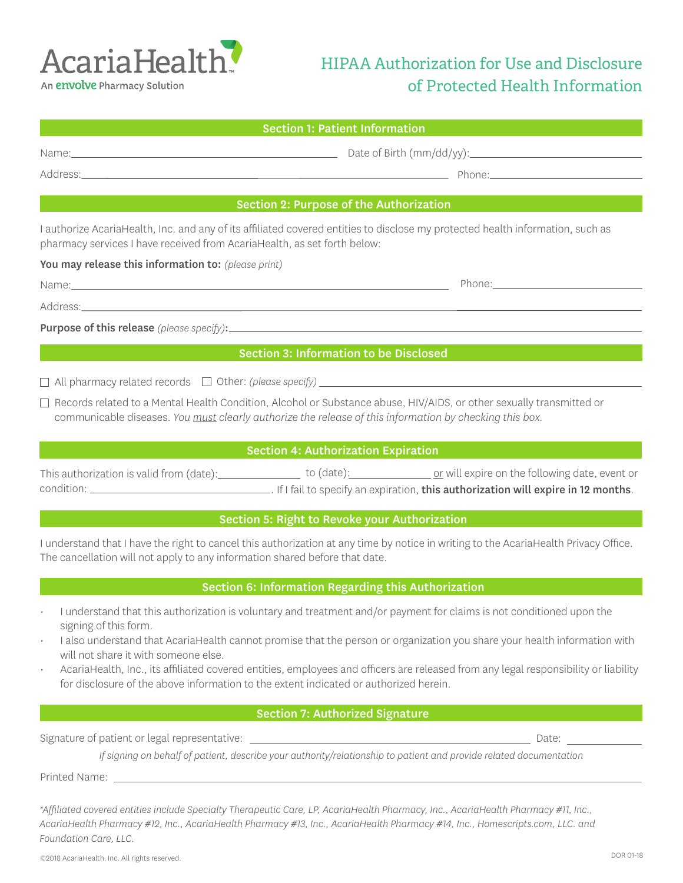

## HIPAA Authorization for Use and Disclosure of Protected Health Information

| <b>Section 1: Patient Information</b>                                                 |                                                                                                                                                                                                                                                                                                                                                                                                                                                                                    |
|---------------------------------------------------------------------------------------|------------------------------------------------------------------------------------------------------------------------------------------------------------------------------------------------------------------------------------------------------------------------------------------------------------------------------------------------------------------------------------------------------------------------------------------------------------------------------------|
|                                                                                       |                                                                                                                                                                                                                                                                                                                                                                                                                                                                                    |
|                                                                                       |                                                                                                                                                                                                                                                                                                                                                                                                                                                                                    |
|                                                                                       |                                                                                                                                                                                                                                                                                                                                                                                                                                                                                    |
|                                                                                       | Section 2: Purpose of the Authorization                                                                                                                                                                                                                                                                                                                                                                                                                                            |
| pharmacy services I have received from AcariaHealth, as set forth below:              | I authorize AcariaHealth, Inc. and any of its affiliated covered entities to disclose my protected health information, such as                                                                                                                                                                                                                                                                                                                                                     |
| You may release this information to: (please print)                                   |                                                                                                                                                                                                                                                                                                                                                                                                                                                                                    |
|                                                                                       | Phone: Note and the second service of the service of the service of the service of the service of the service of the service of the service of the service of the service of the service of the service of the service of the                                                                                                                                                                                                                                                      |
|                                                                                       |                                                                                                                                                                                                                                                                                                                                                                                                                                                                                    |
|                                                                                       |                                                                                                                                                                                                                                                                                                                                                                                                                                                                                    |
|                                                                                       | <b>Section 3: Information to be Disclosed</b>                                                                                                                                                                                                                                                                                                                                                                                                                                      |
|                                                                                       | $\Box$ All pharmacy related records $\Box$ Other: (please specify) $\Box$ All pharmacy related records $\Box$ Other: (please specify)                                                                                                                                                                                                                                                                                                                                              |
|                                                                                       |                                                                                                                                                                                                                                                                                                                                                                                                                                                                                    |
|                                                                                       | □ Records related to a Mental Health Condition, Alcohol or Substance abuse, HIV/AIDS, or other sexually transmitted or<br>communicable diseases. You must clearly authorize the release of this information by checking this box.                                                                                                                                                                                                                                                  |
|                                                                                       | <b>Section 4: Authorization Expiration</b>                                                                                                                                                                                                                                                                                                                                                                                                                                         |
|                                                                                       | This authorization is valid from (date):<br>Let of date):<br>Compare line provided by the spire on the following date, event or                                                                                                                                                                                                                                                                                                                                                    |
|                                                                                       | Section 5: Right to Revoke your Authorization                                                                                                                                                                                                                                                                                                                                                                                                                                      |
| The cancellation will not apply to any information shared before that date.           | I understand that I have the right to cancel this authorization at any time by notice in writing to the AcariaHealth Privacy Office.                                                                                                                                                                                                                                                                                                                                               |
|                                                                                       | Section 6: Information Regarding this Authorization                                                                                                                                                                                                                                                                                                                                                                                                                                |
| signing of this form.<br>will not share it with someone else.<br>$\ddot{\phantom{0}}$ | I understand that this authorization is voluntary and treatment and/or payment for claims is not conditioned upon the<br>I also understand that AcariaHealth cannot promise that the person or organization you share your health information with<br>AcariaHealth, Inc., its affiliated covered entities, employees and officers are released from any legal responsibility or liability<br>for disclosure of the above information to the extent indicated or authorized herein. |
|                                                                                       | <b>Section 7: Authorized Signature</b>                                                                                                                                                                                                                                                                                                                                                                                                                                             |
| Signature of patient or legal representative:                                         | <u> 1980 - Johann Barn, amerikan bestemannten bestemannten bestemannten bestemannten bestemannten bestemannten b</u><br>Date:                                                                                                                                                                                                                                                                                                                                                      |
|                                                                                       | If signing on behalf of patient, describe your authority/relationship to patient and provide related documentation                                                                                                                                                                                                                                                                                                                                                                 |
|                                                                                       |                                                                                                                                                                                                                                                                                                                                                                                                                                                                                    |
|                                                                                       | *Affiliated covered entities include Specialty Therapeutic Care, LP, AcariaHealth Pharmacy, Inc., AcariaHealth Pharmacy #11, Inc.,                                                                                                                                                                                                                                                                                                                                                 |

*AcariaHealth Pharmacy #12, Inc., AcariaHealth Pharmacy #13, Inc., AcariaHealth Pharmacy #14, Inc., Homescripts.com, LLC. and Foundation Care, LLC.*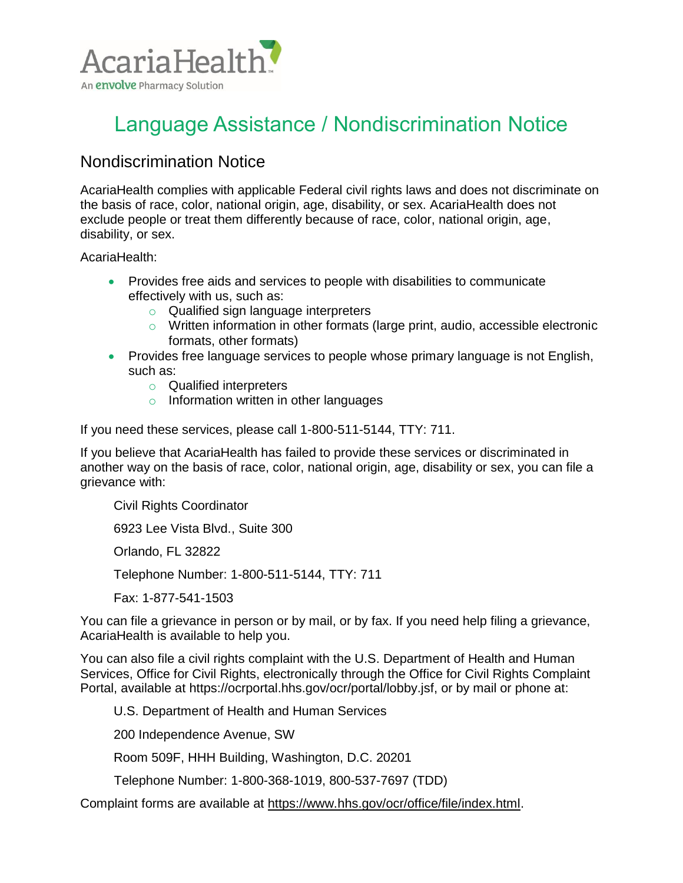

# Language Assistance / Nondiscrimination Notice

## Nondiscrimination Notice

AcariaHealth complies with applicable Federal civil rights laws and does not discriminate on the basis of race, color, national origin, age, disability, or sex. AcariaHealth does not exclude people or treat them differently because of race, color, national origin, age, disability, or sex.

AcariaHealth:

- Provides free aids and services to people with disabilities to communicate effectively with us, such as:
	- o Qualified sign language interpreters
	- o Written information in other formats (large print, audio, accessible electronic formats, other formats)
- Provides free language services to people whose primary language is not English, such as:
	- o Qualified interpreters
	- o Information written in other languages

If you need these services, please call 1-800-511-5144, TTY: 711.

If you believe that AcariaHealth has failed to provide these services or discriminated in another way on the basis of race, color, national origin, age, disability or sex, you can file a grievance with:

Civil Rights Coordinator

6923 Lee Vista Blvd., Suite 300

Orlando, FL 32822

Telephone Number: 1-800-511-5144, TTY: 711

Fax: 1-877-541-1503

You can file a grievance in person or by mail, or by fax. If you need help filing a grievance, AcariaHealth is available to help you.

You can also file a civil rights complaint with the U.S. Department of Health and Human Services, Office for Civil Rights, electronically through the Office for Civil Rights Complaint Portal, available at https://ocrportal.hhs.gov/ocr/portal/lobby.jsf, or by mail or phone at:

U.S. Department of Health and Human Services

200 Independence Avenue, SW

Room 509F, HHH Building, Washington, D.C. 20201

Telephone Number: 1-800-368-1019, 800-537-7697 (TDD)

Complaint forms are available at [https://www.hhs.gov/ocr/office/file/index.html.](https://www.hhs.gov/ocr/office/file/index.html)